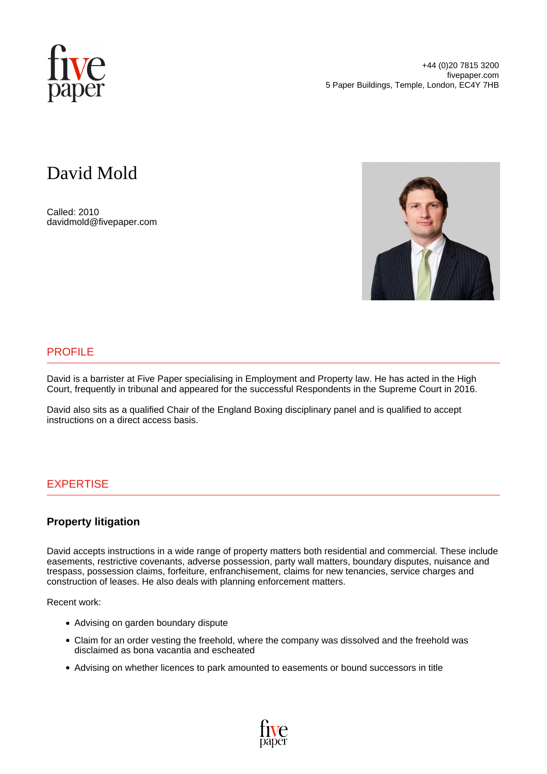

# David Mold

Called: 2010 davidmold@fivepaper.com



## PROFILE

David is a barrister at Five Paper specialising in Employment and Property law. He has acted in the High Court, frequently in tribunal and appeared for the successful Respondents in the Supreme Court in 2016.

David also sits as a qualified Chair of the England Boxing disciplinary panel and is qualified to accept instructions on a direct access basis.

## EXPERTISE

### **Property litigation**

David accepts instructions in a wide range of property matters both residential and commercial. These include easements, restrictive covenants, adverse possession, party wall matters, boundary disputes, nuisance and trespass, possession claims, forfeiture, enfranchisement, claims for new tenancies, service charges and construction of leases. He also deals with planning enforcement matters.

Recent work:

- Advising on garden boundary dispute
- Claim for an order vesting the freehold, where the company was dissolved and the freehold was disclaimed as bona vacantia and escheated
- Advising on whether licences to park amounted to easements or bound successors in title

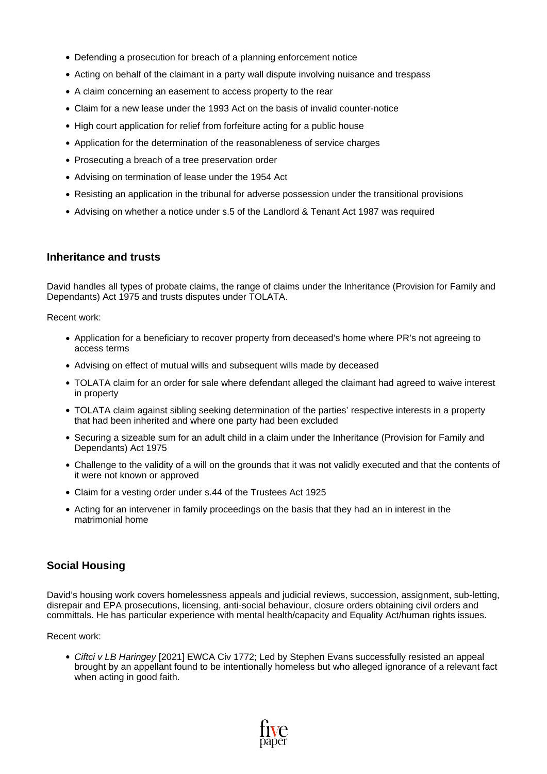- Defending a prosecution for breach of a planning enforcement notice
- Acting on behalf of the claimant in a party wall dispute involving nuisance and trespass
- A claim concerning an easement to access property to the rear
- Claim for a new lease under the 1993 Act on the basis of invalid counter-notice
- High court application for relief from forfeiture acting for a public house
- Application for the determination of the reasonableness of service charges
- Prosecuting a breach of a tree preservation order
- Advising on termination of lease under the 1954 Act
- Resisting an application in the tribunal for adverse possession under the transitional provisions
- Advising on whether a notice under s.5 of the Landlord & Tenant Act 1987 was required

#### **Inheritance and trusts**

David handles all types of probate claims, the range of claims under the Inheritance (Provision for Family and Dependants) Act 1975 and trusts disputes under TOLATA.

Recent work:

- Application for a beneficiary to recover property from deceased's home where PR's not agreeing to access terms
- Advising on effect of mutual wills and subsequent wills made by deceased
- TOLATA claim for an order for sale where defendant alleged the claimant had agreed to waive interest in property
- TOLATA claim against sibling seeking determination of the parties' respective interests in a property that had been inherited and where one party had been excluded
- Securing a sizeable sum for an adult child in a claim under the Inheritance (Provision for Family and Dependants) Act 1975
- Challenge to the validity of a will on the grounds that it was not validly executed and that the contents of it were not known or approved
- Claim for a vesting order under s.44 of the Trustees Act 1925
- Acting for an intervener in family proceedings on the basis that they had an in interest in the matrimonial home

#### **Social Housing**

David's housing work covers homelessness appeals and judicial reviews, succession, assignment, sub-letting, disrepair and EPA prosecutions, licensing, anti-social behaviour, closure orders obtaining civil orders and committals. He has particular experience with mental health/capacity and Equality Act/human rights issues.

Recent work:

• [Ciftci v LB Haringey](https://www.judiciary.uk/wp-content/uploads/2021/11/Ciftci-v-Haringey-judgment-261121.pdf) [2021] EWCA Civ 1772; Led by Stephen Evans successfully resisted an appeal brought by an appellant found to be intentionally homeless but who alleged ignorance of a relevant fact when acting in good faith.

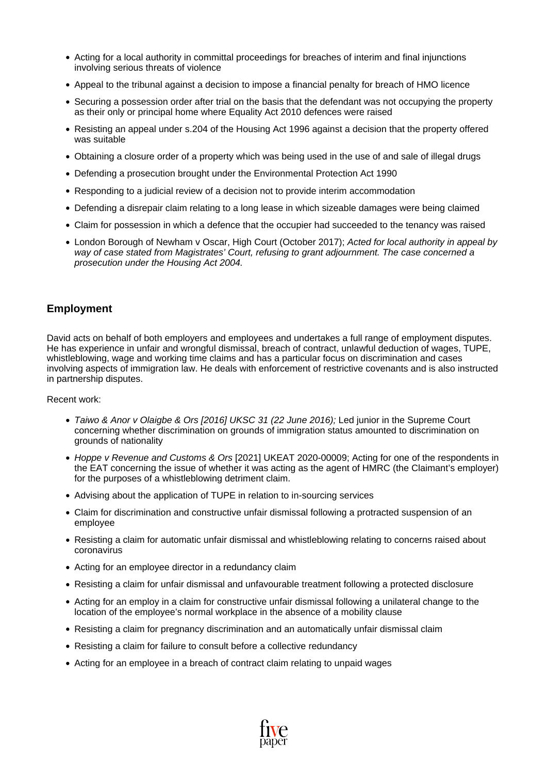- Acting for a local authority in committal proceedings for breaches of interim and final injunctions involving serious threats of violence
- Appeal to the tribunal against a decision to impose a financial penalty for breach of HMO licence
- Securing a possession order after trial on the basis that the defendant was not occupying the property as their only or principal home where Equality Act 2010 defences were raised
- Resisting an appeal under s.204 of the Housing Act 1996 against a decision that the property offered was suitable
- Obtaining a closure order of a property which was being used in the use of and sale of illegal drugs
- Defending a prosecution brought under the Environmental Protection Act 1990
- Responding to a judicial review of a decision not to provide interim accommodation
- Defending a disrepair claim relating to a long lease in which sizeable damages were being claimed
- Claim for possession in which a defence that the occupier had succeeded to the tenancy was raised
- [London Borough of Newham v Oscar,](https://www.lawtel.com/UK/Searches/5305/AC5000175) High Court (October 2017); Acted for local authority in appeal by way of case stated from Magistrates' Court, refusing to grant adjournment. The case concerned a prosecution under the Housing Act 2004.

### **Employment**

David acts on behalf of both employers and employees and undertakes a full range of employment disputes. He has experience in unfair and wrongful dismissal, breach of contract, unlawful deduction of wages, TUPE, whistleblowing, wage and working time claims and has a particular focus on discrimination and cases involving aspects of immigration law. He deals with enforcement of restrictive covenants and is also instructed in partnership disputes.

#### Recent work:

- [Taiwo & Anor v Olaigbe & Ors \[2016\] UKSC 31 \(22 June 2016\);](http://www.bailii.org/cgi-bin/format.cgi?doc=/uk/cases/UKSC/2016/31.html&query=(%5B2016%5D)+AND+(UKSC)+AND+(31)) Led junior in the Supreme Court concerning whether discrimination on grounds of immigration status amounted to discrimination on grounds of nationality
- [Hoppe v Revenue and Customs & Ors](https://www.bailii.org/uk/cases/UKEAT/2021/2020000093.html) [2021] UKEAT 2020-00009; Acting for one of the respondents in the EAT concerning the issue of whether it was acting as the agent of HMRC (the Claimant's employer) for the purposes of a whistleblowing detriment claim.
- Advising about the application of TUPE in relation to in-sourcing services
- Claim for discrimination and constructive unfair dismissal following a protracted suspension of an employee
- Resisting a claim for automatic unfair dismissal and whistleblowing relating to concerns raised about coronavirus
- Acting for an employee director in a redundancy claim
- Resisting a claim for unfair dismissal and unfavourable treatment following a protected disclosure
- Acting for an employ in a claim for constructive unfair dismissal following a unilateral change to the location of the employee's normal workplace in the absence of a mobility clause
- Resisting a claim for pregnancy discrimination and an automatically unfair dismissal claim
- Resisting a claim for failure to consult before a collective redundancy
- Acting for an employee in a breach of contract claim relating to unpaid wages